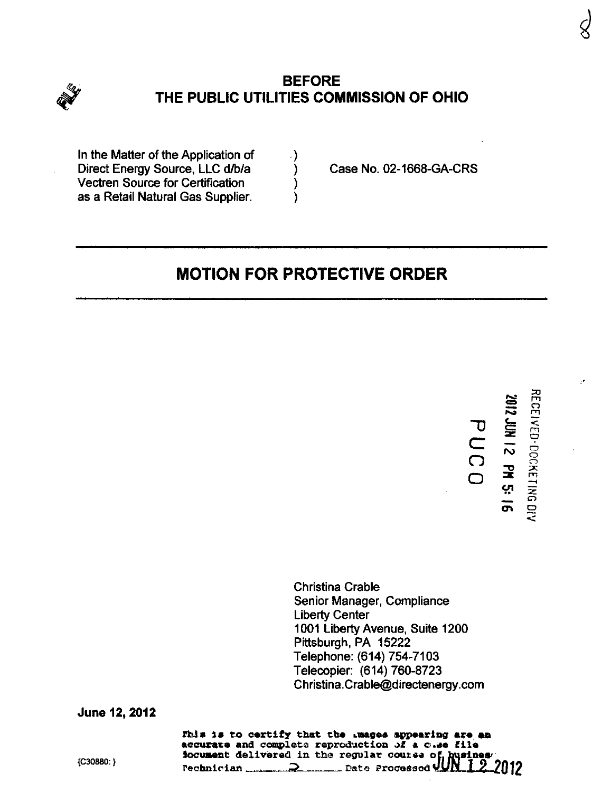

## **BEFORE** THE PUBLIC UTILITIES COMMISSION OF OHIO

In the Matter of the Application of  $\hspace{1.5cm}$ Direct Energy Source, LLC d/b/a (b) Case No. 02-1668-GA-CRS Vectren Source for Certification ) as a Retail Natural Gas Supplier.

# MOTION FOR PROTECTIVE ORDER

 $\overline{U}$ c o o

Christina Crable Senior Manager, Compliance Liberty Center 1001 Liberty Avenue. Suite 1200 Pittsburgh, PA 15222 Telephone: (614) 754-7103 Telecopier: (614) 760-8723 [Christina.Crable@directenergy.com](mailto:Christina.Crable@directenergy.com) 

June 12, 2012

Fhis is to certify that the Luages appearing are an accurate and complete reproduction of a cide file Jocument delivered in the regular course of busine<br>Pechnician  $\frac{1}{\sqrt{2}}$  Date Processed UNIS  ${^{(C30880)}}$  rechnician  $Q$  Data Processed 4UK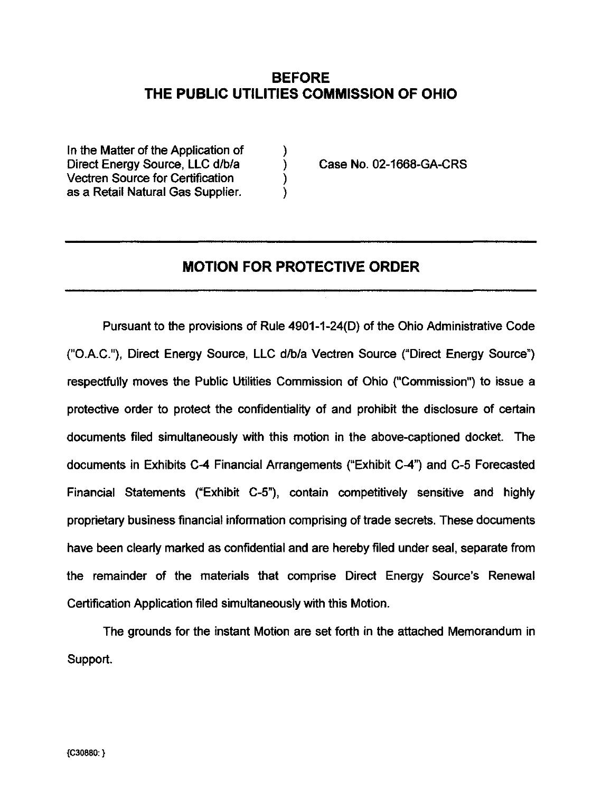### BEFORE THE PUBLIC UTILITIES COMMISSION OF OHIO

In the Matter of the Application of Direct Energy Source, LLC d/b/a (a) Case No. 02-1668-GA-CRS Vectren Source for Certification (1) as a Retail Natural Gas Supplier.

#### MOTION FOR PROTECTIVE ORDER

Pursuant to the provisions of Rule 4901-1-24(D) of the Ohio Administrative Code ("O.A.C."), Direct Energy Source, LLC d/b/a Vectren Source ("Direct Energy Source") respectfully moves the Public Utilities Commission of Ohio ("Commission") to issue a protective order to protect the confidentiality of and prohibit the disclosure of certain documents filed simultaneously with this motion in the above-captioned docket. The documents in Exhibits C-4 Financial Arrangements ("Exhibit C-4") and C-5 Forecasted Financial Statements ("Exhibit C-5"), contain competifively sensitive and highly proprietary business financial information comprising of trade secrets. These documents have been clearly marked as confidenfial and are hereby filed under seal, separate from the remainder of the materials that comprise Direct Energy Source's Renewal Certification Application filed simultaneously with this Motion.

The grounds for the instant Motion are set forth in the attached Memorandum in Support.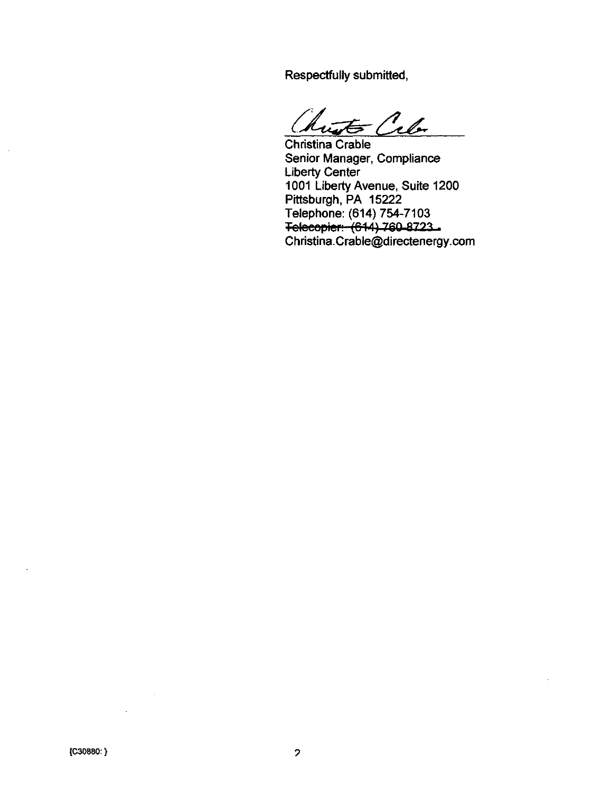Respectfully submitted,

 $\epsilon$  Cel

Chrisfina Crable Senior Manager, Compliance Liberty Center 1001 Liberty Avenue, Suite 1200 Pittsburgh, PA 15222 Telephone: (614) 754-7103 Telecopier: (614) 760-8723 [Christina.Crable@directenergy.com](mailto:Christina.Crable@directenergy.com)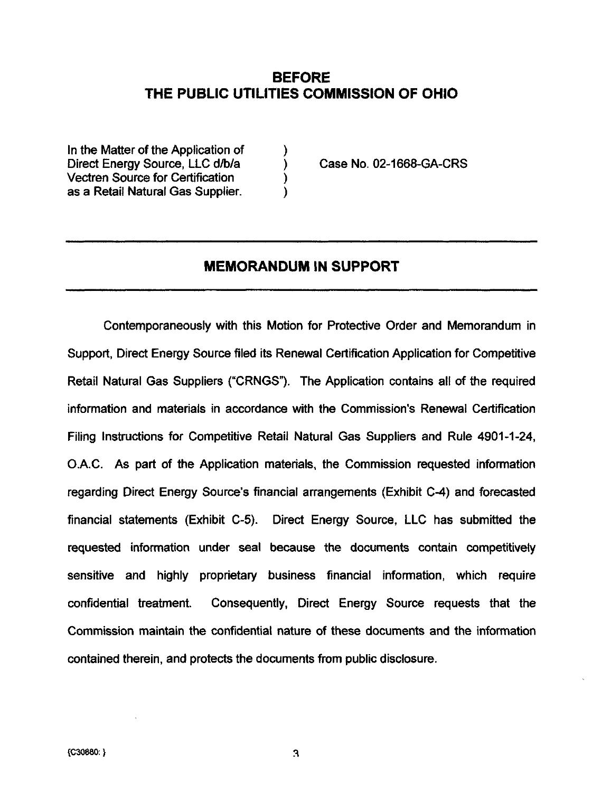#### BEFORE THE PUBLIC UTILITIES COMMISSION OF OHIO

In the Matter of the Application of Direct Energy Source, LLC d/b/a (a) Case No. 02-1668-GA-CRS Vectren Source for Certification ) as a Retail Natural Gas Supplier.

#### MEMORANDUM IN SUPPORT

Contemporaneously with this Motion for Protective Order and Memorandum in Support, Direct Energy Source filed its Renewal Certification Applicafion for Competitive Retail Natural Gas Suppliers ("CRNGS"). The Application contains all of the required information and materials in accordance with the Commission's Renewal Certification Filing Instrucfions for Competitive Retail Natural Gas Suppliers and Rule 4901-1-24, O.A.C. As part of the Applicafion materials, the Commission requested information regarding Direct Energy Source's financial arrangements (Exhibit C-4) and forecasted financial statements (Exhibit C-5). Direct Energy Source, LLC has submitted the requested informafion under seal because the documents contain competitively sensitive and highly proprietary business financial information, which require confidential treatment. Consequently, Direct Energy Source requests that the Commission maintain the confidential nature of these documents and the information contained therein, and protects the documents from public disclosure.

3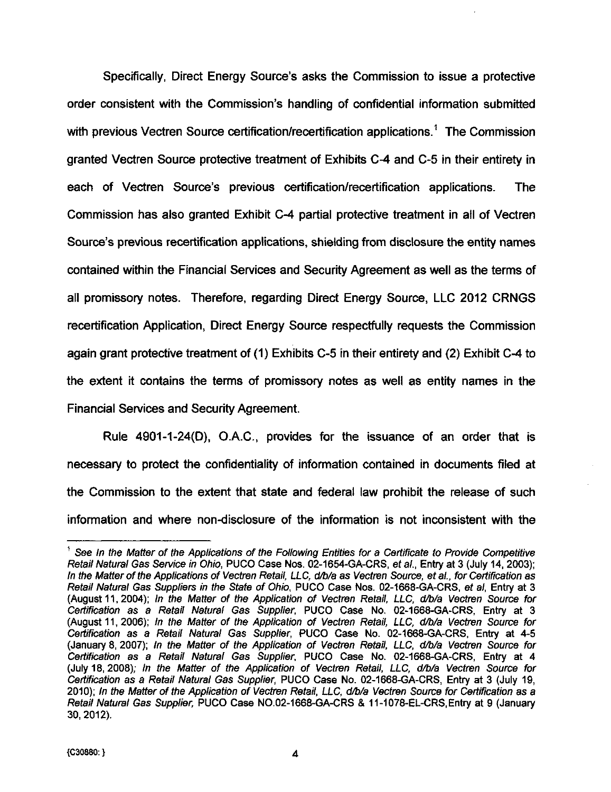Specifically, Direct Energy Source's asks the Commission to issue a protective order consistent with the Commission's handling of confidenfial information submitted with previous Vectren Source certification/recertification applications.<sup>1</sup> The Commission granted Vectren Source protective treatment of Exhibits C-4 and C-5 in their enfirety in each of Vectren Source's previous certification/recertification applications. The Commission has also granted Exhibit C-4 partial protective treatment in all of Vectren Source's previous recertificafion applications, shielding from disclosure the entity names contained within the Financial Services and Security Agreement as well as the terms of all promissory notes. Therefore, regarding Direct Energy Source, LLC 2012 CRNGS recertification Application, Direct Energy Source respectfully requests the Commission again grant protective treatment of (1) Exhibits C-5 in their entirety and (2) Exhibit C-4 to the extent it contains the terms of promissory notes as well as enfity names in the Financial Services and Security Agreement.

Rule 4901-1-24(D), O.A.C, provides for the issuance of an order that is necessary to protect the confidentiality of informafion contained in documents filed at the Commission to the extent that state and federal law prohibit the release of such information and where non-disclosure of the information is not inconsistent with the

See In the Matter of the Applications of the Following Entities for a Certificate to Provide Competitive Retail Natural Gas Service in Ohio, PUCO Case Nos. 02-1654-GA-CRS, etal., Entry at 3 (July 14, 2003); In the Matter of the Applications of Vectren Retail, LLC, d/b/a as Vectren Source, etal., for Certification as Retail Natural Gas Suppliers in the State of Ohio, PUCO Case Nos. 02-1668-GA-CRS, ef a/, Entry at 3 (August 11, 2004); In the Matter of the Application of Vectren Retail, LLC, d/b/a Vectren Source for Certification as a Retail Natural Gas Supplier, PUCO Case No. 02-1668-GA-CRS, Entry at 3 (August 11, 2006); In the Matter of the Application of Vectren Retail, LLC, d/b/a Vectren Source for Certification as a Retail Natural Gas Supplier, PUCO Case No. 02-1668-GA-CRS, Entry at 4-5 (January 8, 2007); In the Matter of the Application of Vectren Retail, LLC, d/b/a Vectren Source for Certification as a Retail Natural Gas Supplier, PUCO Case No. 02-1668-GA-CRS, Entry at 4 (July 18, 2008); In the Matter of the Application of Vectren Retail. LLC, d/b/a Vectren Source for Certification as a Retail Natural Gas Supplier, PUCO Case No. 02-1668-GA-CRS, Entry at 3 (July 19, 2010); In the Matter of the Application of Vectren Retail, LLC, d/b/a Vectren Source for Certification as a Retail Natural Gas Supplier, PUCO Case NO.02-1668-GA-CRS & 11-1078-EL-CRS, Entry at 9 (January 30, 2012).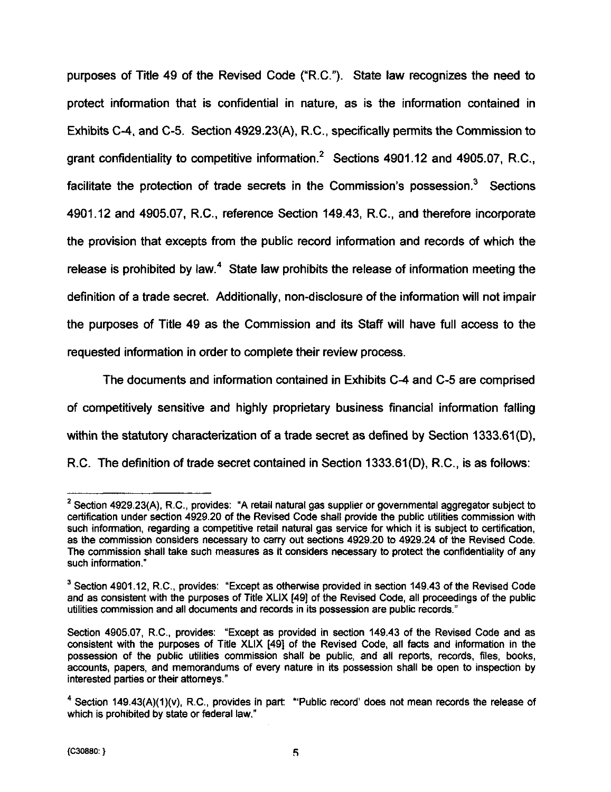purposes of Tifie 49 of the Revised Code ("R.C."). State law recognizes the need to protect informafion that is confidential in nature, as is the information contained in Exhibits C-4, and C-5. Section 4929.23(A), R.C., specifically permits the Commission to grant confidentiality to competitive information.<sup>2</sup> Sections 4901.12 and 4905.07, R.C., facilitate the protection of trade secrets in the Commission's possession. $3$  Sections 4901.12 and 4905.07, R.C., reference Section 149.43, R.C., and therefore incorporate the provision that excepts from the public record information and records of which the release is prohibited by law.<sup>4</sup> State law prohibits the release of information meeting the definition of a trade secret. Additionally, non-disclosure of the information will not impair the purposes of Title 49 as the Commission and its Staff will have full access to the requested information in order to complete their review process.

The documents and information contained in Exhibits C-4 and C-5 are comprised of competitively sensitive and highly proprietary business financial information falling within the statutory characterization of a trade secret as defined by Section 1333.61(D), R.C. The definition of trade secret contained in Section 1333.61(D), R.C., is as follows:

 $2$  Section 4929.23(A), R.C., provides: "A retail natural gas supplier or governmental aggregator subject to certification under section 4929.20 of the Revised Code shall provide the public utilities commission with such information, regarding a competitive retail natural gas service for which it is subject to certification, as the commission considers necessary to carry out sections 4929.20 to 4929.24 of the Revised Code. The commission shall take such measures as it considers necessary to protect the confidentiality of any such information."

 $3$  Section 4901.12, R.C., provides: "Except as otherwise provided in section 149.43 of the Revised Code and as consistent with the purposes of Title XLIX [49] of the Revised Code, all proceedings of the public utilities commission and all documents and records in its possession are public records."

Section 4905.07, R.C, provides: "Except as provided in section 149.43 of the Revised Code and as consistent with the purposes of Title XLIX [49] of the Revised Code, all facts and information in the possession of the public utilities commission shall be public, and all reports, records, files, books, accounts, papers, and memorandums of every nature in its possession shall be open to inspection by interested parties or their attorneys."

 $4$  Section 149.43(A)(1)(v), R.C., provides in part: "Public record' does not mean records the release of which is prohibited by state or federal law."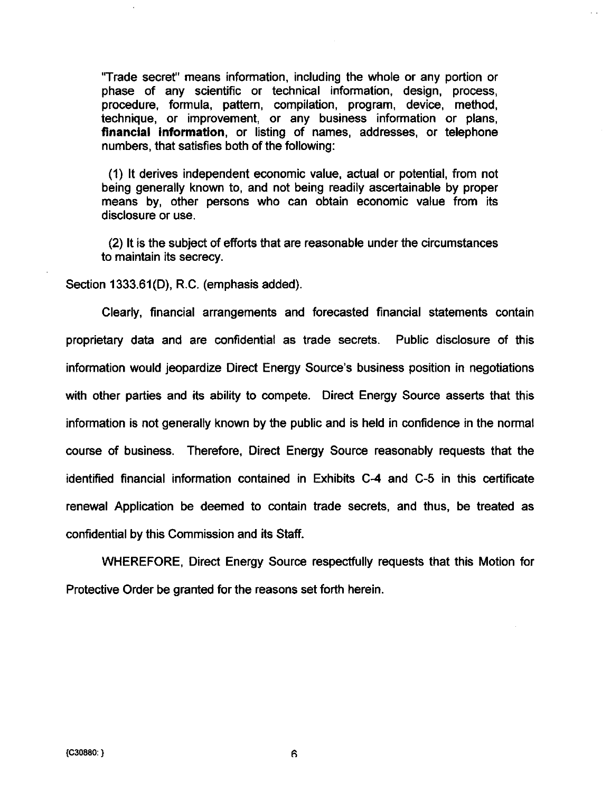"Trade secret" means information, including the whole or any portion or phase of any scientific or technical information, design, process, procedure, formula, pattern, compilation, program, device, method, technique, or improvement, or any business information or plans, financial information, or listing of names, addresses, or telephone numbers, that satisfies both of the following:

(1) It derives independent economic value, actual or potenfial, from not being generally known to, and not being readily ascertainable by proper means by, other persons who can obtain economic value from its disclosure or use.

(2) It is the subject of efforts that are reasonable under the circumstances to maintain its secrecy.

Section 1333.61(D), R.C. (emphasis added).

Clearly, financial arrangements and forecasted financial statements contain proprietary data and are confidential as trade secrets. Public disclosure of this information would jeopardize Direct Energy Source's business position in negotiations with other parties and its ability to compete. Direct Energy Source asserts that this information is not generally known by the public and is held in confidence in the normal course of business. Therefore, Direct Energy Source reasonably requests that the identified financial information contained in Exhibits C-4 and C-5 in this certificate renewal Application be deemed to contain trade secrets, and thus, be treated as confidenfial by this Commission and its Staff.

WHEREFORE, Direct Energy Source respectfully requests that this Motion for Protective Order be granted for the reasons set forth herein.

6